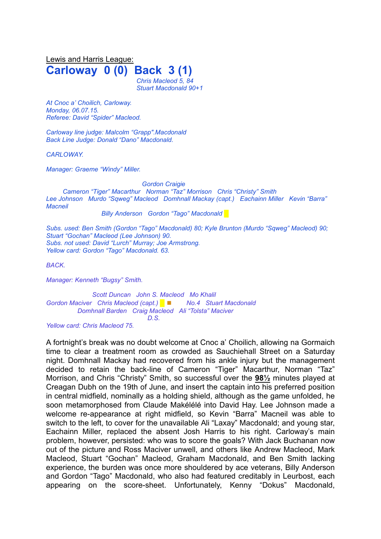Lewis and Harris League: **Carloway 0 (0) Back 3 (1)** *Chris Macleod 5, 84 Stuart Macdonald 90+1*

*At Cnoc a' Choilich, Carloway. Monday, 06.07.15. Referee: David "Spider" Macleod.*

*Carloway line judge: Malcolm "Grapp".Macdonald Back Line Judge: Donald "Dano" Macdonald.*

*CARLOWAY.*

*Manager: Graeme "Windy" Miller.*

*Gordon Craigie*

*Cameron "Tiger" Macarthur Norman "Taz" Morrison Chris "Christy" Smith Lee Johnson Murdo "Sqweg" Macleod Domhnall Mackay (capt.) Eachainn Miller Kevin "Barra" Macneil*

*Billy Anderson Gordon "Tago" Macdonald* █

*Subs. used: Ben Smith (Gordon "Tago" Macdonald) 80; Kyle Brunton (Murdo "Sqweg" Macleod) 90; Stuart "Gochan" Macleod (Lee Johnson) 90. Subs. not used: David "Lurch" Murray; Joe Armstrong. Yellow card: Gordon "Tago" Macdonald. 63.*

*BACK.*

*Manager: Kenneth "Bugsy" Smith.*

*Scott Duncan John S. Macleod Mo Khalil Gordon Maciver Chris Macleod (capt.) █* ◼ *No.4 Stuart Macdonald Domhnall Barden Craig Macleod Ali "Tolsta" Maciver D.S.*

*Yellow card: Chris Macleod 75.*

A fortnight's break was no doubt welcome at Cnoc a' Choilich, allowing na Gormaich time to clear a treatment room as crowded as Sauchiehall Street on a Saturday night. Domhnall Mackay had recovered from his ankle injury but the management decided to retain the back-line of Cameron "Tiger" Macarthur, Norman "Taz" Morrison, and Chris "Christy" Smith, so successful over the **98½** minutes played at Creagan Dubh on the 19th of June, and insert the captain into his preferred position in central midfield, nominally as a holding shield, although as the game unfolded, he soon metamorphosed from Claude Makélélé into David Hay. Lee Johnson made a welcome re-appearance at right midfield, so Kevin "Barra" Macneil was able to switch to the left, to cover for the unavailable Ali "Laxay" Macdonald; and young star, Eachainn Miller, replaced the absent Josh Harris to his right. Carloway's main problem, however, persisted: who was to score the goals? With Jack Buchanan now out of the picture and Ross Maciver unwell, and others like Andrew Macleod, Mark Macleod, Stuart "Gochan" Macleod, Graham Macdonald, and Ben Smith lacking experience, the burden was once more shouldered by ace veterans, Billy Anderson and Gordon "Tago" Macdonald, who also had featured creditably in Leurbost, each appearing on the score-sheet. Unfortunately, Kenny "Dokus" Macdonald,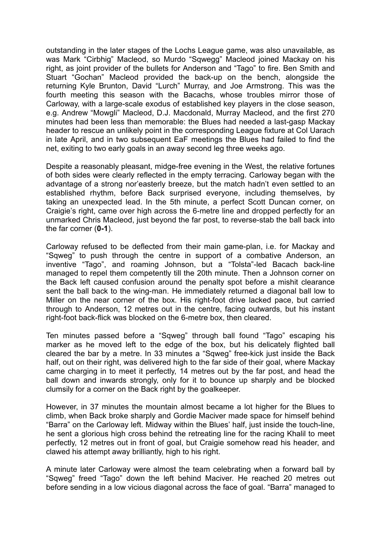outstanding in the later stages of the Lochs League game, was also unavailable, as was Mark "Cirbhig" Macleod, so Murdo "Sqwegg" Macleod joined Mackay on his right, as joint provider of the bullets for Anderson and "Tago" to fire. Ben Smith and Stuart "Gochan" Macleod provided the back-up on the bench, alongside the returning Kyle Brunton, David "Lurch" Murray, and Joe Armstrong. This was the fourth meeting this season with the Bacachs, whose troubles mirror those of Carloway, with a large-scale exodus of established key players in the close season, e.g. Andrew "Mowgli" Macleod, D.J. Macdonald, Murray Macleod, and the first 270 minutes had been less than memorable: the Blues had needed a last-gasp Mackay header to rescue an unlikely point in the corresponding League fixture at Col Uarach in late April, and in two subsequent EaF meetings the Blues had failed to find the net, exiting to two early goals in an away second leg three weeks ago.

Despite a reasonably pleasant, midge-free evening in the West, the relative fortunes of both sides were clearly reflected in the empty terracing. Carloway began with the advantage of a strong nor'easterly breeze, but the match hadn't even settled to an established rhythm, before Back surprised everyone, including themselves, by taking an unexpected lead. In the 5th minute, a perfect Scott Duncan corner, on Craigie's right, came over high across the 6-metre line and dropped perfectly for an unmarked Chris Macleod, just beyond the far post, to reverse-stab the ball back into the far corner (**0-1**).

Carloway refused to be deflected from their main game-plan, i.e. for Mackay and "Sqweg" to push through the centre in support of a combative Anderson, an inventive "Tago", and roaming Johnson, but a "Tolsta"-led Bacach back-line managed to repel them competently till the 20th minute. Then a Johnson corner on the Back left caused confusion around the penalty spot before a mishit clearance sent the ball back to the wing-man. He immediately returned a diagonal ball low to Miller on the near corner of the box. His right-foot drive lacked pace, but carried through to Anderson, 12 metres out in the centre, facing outwards, but his instant right-foot back-flick was blocked on the 6-metre box, then cleared.

Ten minutes passed before a "Sqweg" through ball found "Tago" escaping his marker as he moved left to the edge of the box, but his delicately flighted ball cleared the bar by a metre. In 33 minutes a "Sqweg" free-kick just inside the Back half, out on their right, was delivered high to the far side of their goal, where Mackay came charging in to meet it perfectly, 14 metres out by the far post, and head the ball down and inwards strongly, only for it to bounce up sharply and be blocked clumsily for a corner on the Back right by the goalkeeper.

However, in 37 minutes the mountain almost became a lot higher for the Blues to climb, when Back broke sharply and Gordie Maciver made space for himself behind "Barra" on the Carloway left. Midway within the Blues' half, just inside the touch-line, he sent a glorious high cross behind the retreating line for the racing Khalil to meet perfectly, 12 metres out in front of goal, but Craigie somehow read his header, and clawed his attempt away brilliantly, high to his right.

A minute later Carloway were almost the team celebrating when a forward ball by "Sqweg" freed "Tago" down the left behind Maciver. He reached 20 metres out before sending in a low vicious diagonal across the face of goal. "Barra" managed to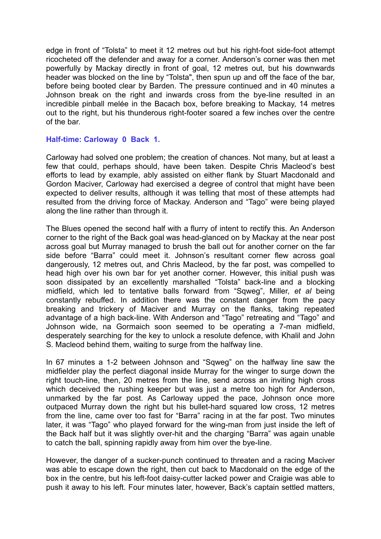edge in front of "Tolsta" to meet it 12 metres out but his right-foot side-foot attempt ricocheted off the defender and away for a corner. Anderson's corner was then met powerfully by Mackay directly in front of goal, 12 metres out, but his downwards header was blocked on the line by "Tolsta", then spun up and off the face of the bar, before being booted clear by Barden. The pressure continued and in 40 minutes a Johnson break on the right and inwards cross from the bye-line resulted in an incredible pinball melée in the Bacach box, before breaking to Mackay, 14 metres out to the right, but his thunderous right-footer soared a few inches over the centre of the bar.

## **Half-time: Carloway 0 Back 1.**

Carloway had solved one problem; the creation of chances. Not many, but at least a few that could, perhaps should, have been taken. Despite Chris Macleod's best efforts to lead by example, ably assisted on either flank by Stuart Macdonald and Gordon Maciver, Carloway had exercised a degree of control that might have been expected to deliver results, although it was telling that most of these attempts had resulted from the driving force of Mackay. Anderson and "Tago" were being played along the line rather than through it.

The Blues opened the second half with a flurry of intent to rectify this. An Anderson corner to the right of the Back goal was head-glanced on by Mackay at the near post across goal but Murray managed to brush the ball out for another corner on the far side before "Barra" could meet it. Johnson's resultant corner flew across goal dangerously, 12 metres out, and Chris Macleod, by the far post, was compelled to head high over his own bar for yet another corner. However, this initial push was soon dissipated by an excellently marshalled "Tolsta" back-line and a blocking midfield, which led to tentative balls forward from "Sqweg", Miller, *et al* being constantly rebuffed. In addition there was the constant danger from the pacy breaking and trickery of Maciver and Murray on the flanks, taking repeated advantage of a high back-line. With Anderson and "Tago" retreating and "Tago" and Johnson wide, na Gormaich soon seemed to be operating a 7-man midfield, desperately searching for the key to unlock a resolute defence, with Khalil and John S. Macleod behind them, waiting to surge from the halfway line.

In 67 minutes a 1-2 between Johnson and "Sqweg" on the halfway line saw the midfielder play the perfect diagonal inside Murray for the winger to surge down the right touch-line, then, 20 metres from the line, send across an inviting high cross which deceived the rushing keeper but was just a metre too high for Anderson, unmarked by the far post. As Carloway upped the pace, Johnson once more outpaced Murray down the right but his bullet-hard squared low cross, 12 metres from the line, came over too fast for "Barra" racing in at the far post. Two minutes later, it was "Tago" who played forward for the wing-man from just inside the left of the Back half but it was slightly over-hit and the charging "Barra" was again unable to catch the ball, spinning rapidly away from him over the bye-line.

However, the danger of a sucker-punch continued to threaten and a racing Maciver was able to escape down the right, then cut back to Macdonald on the edge of the box in the centre, but his left-foot daisy-cutter lacked power and Craigie was able to push it away to his left. Four minutes later, however, Back's captain settled matters,